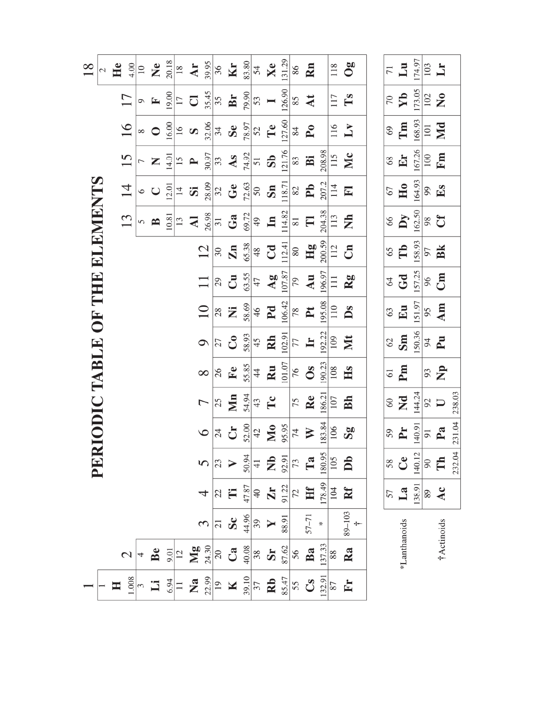| $\frac{8}{18}$ | 2 | He<br>4.00     | $\overline{10}$   | $\mathbf{X}$ | 20.18 | 18             | Ar                                                                                                                    | 39.95          | 36              | Kr                     | 83.80 | 54              | Xe                                                                                                                                                                                                                                                                                                                  | 131.29 | 86                 | Rn                        |        | 118                 | 0g                                                                             | $\overline{71}$ | $\mathbf{L}\mathbf{u}$  | 174.97 | 103                 | $\mathbf{L}$        |
|----------------|---|----------------|-------------------|--------------|-------|----------------|-----------------------------------------------------------------------------------------------------------------------|----------------|-----------------|------------------------|-------|-----------------|---------------------------------------------------------------------------------------------------------------------------------------------------------------------------------------------------------------------------------------------------------------------------------------------------------------------|--------|--------------------|---------------------------|--------|---------------------|--------------------------------------------------------------------------------|-----------------|-------------------------|--------|---------------------|---------------------|
|                |   | 17             | $\circ$           | $\mathbf{r}$ | 19.00 | 17             | $\overline{\mathbf{C}}$                                                                                               | 35.45          | 35              | Br                     | 79.90 | 53              | $\blacksquare$                                                                                                                                                                                                                                                                                                      | 126.90 | 85                 | At                        |        | 117                 | $\mathbf{T}$ s                                                                 | 70              | $\mathbf{Y}$            | 173.05 | 102                 | $\mathbf{z}$        |
|                |   | 16             | $\infty$          | $\bigcirc$   | 16.00 | $\frac{1}{6}$  | $\Omega$                                                                                                              | 32.06          | 34              | <b>Se</b>              | 78.97 | 52              | Te                                                                                                                                                                                                                                                                                                                  | 127.60 | $\,84$             | $\mathbf{P}_{\mathbf{O}}$ |        | 116                 | $\mathbf{L}$                                                                   | 69              | $\mathbf{m}$            | 168.93 | 101                 | Md                  |
|                |   | 15             |                   | Z            | 14.01 | $\tilde{5}$    | $\blacktriangle$                                                                                                      | 30.97          | 33              | As                     | 74.92 | $\overline{5}1$ | $\mathbf{S}$                                                                                                                                                                                                                                                                                                        | 121.76 | 83                 | Bi                        | 208.98 | 115                 | Mc                                                                             | 68              | Er                      | 167.26 | 100                 | Fm                  |
|                |   | 14             | $\circ$           | $\cup$       | 12.01 | $\overline{4}$ | $\ddot{\bm{S}}$                                                                                                       | 28.09          | 32              | $\mathbf{G}\mathbf{e}$ | 72.63 | $50\,$          | Sn                                                                                                                                                                                                                                                                                                                  | 118.71 | $82\,$             | $\mathbf{P} \mathbf{b}$   | 207.2  | 114                 | $\mathbf{F}$                                                                   | 67              | H <sub>0</sub>          | 164.93 | $66$                | $E_{\rm S}$         |
| THE ELEMENTS   |   | 13             | $\sigma$          | $\mathbf{B}$ | 10.81 | 13             | $\overline{\mathbf{z}}$                                                                                               | 26.98          | $\overline{31}$ | Ga                     | 69.72 | 49              | $\mathbf{H}$                                                                                                                                                                                                                                                                                                        | 114.82 | $\rm 81$           | E                         | 204.38 | 113                 | É                                                                              | 66              | $\mathbf{D}\mathbf{y}$  | 162.50 | $98\,$              | Ĵ                   |
|                |   |                |                   |              |       |                |                                                                                                                       | 12             | 30              | $\mathbf{Zn}$          | 65.38 | 48              | $C_{\mathbf{d}}$                                                                                                                                                                                                                                                                                                    | 112.41 | $\rm 80$           | Hg                        | 200.59 | 112                 | Cn                                                                             | 65              | Tb                      | 158.93 | 97                  | Bk                  |
|                |   |                |                   |              |       |                |                                                                                                                       | $\Box$         | 29              | $\mathbf{C}$ u         | 63.55 | 47              | $\overline{A}$ g                                                                                                                                                                                                                                                                                                    | 107.87 | 79                 | Au                        | 196.97 | 111                 | Rg                                                                             | 64              | Gd                      | 157.25 | 96                  | Cm                  |
| OF.            |   |                |                   |              |       |                |                                                                                                                       | $\Xi$          | $28\,$          | Ż                      | 58.69 | 46              | Pd                                                                                                                                                                                                                                                                                                                  | 106.42 | $78$               | $\mathbf{P} \mathbf{t}$   | 195.08 | 110                 | Ds                                                                             | 63              | Eu                      | 151.97 | 95                  | Am                  |
|                |   |                |                   |              |       |                |                                                                                                                       | $\circ$        | 27              | $\mathbf{C}$           | 58.93 | 45              | <b>Rh</b>                                                                                                                                                                                                                                                                                                           | 102.91 | 77                 | $\mathbf{H}$              | 192.22 | 109                 | <b>NIX</b>                                                                     | 62              | Sm                      | 150.36 | 64                  | $\mathbf{E}$        |
|                |   |                |                   |              |       |                |                                                                                                                       | $\infty$       | 26              | $F$ e                  | 55.85 | $\overline{4}$  | Ru                                                                                                                                                                                                                                                                                                                  | 101.07 | 76                 | $\mathbf{0}$ s            | 190.23 | 108                 | Hs                                                                             | 61              | P <sub>m</sub>          |        | 93                  | $\mathbf{r}$        |
| RIODIC TABLE   |   |                |                   |              |       |                |                                                                                                                       | $\overline{ }$ | 25              | $\sum_{n=1}^{\infty}$  | 54.94 | 43              | $\mathbf{T}$ c                                                                                                                                                                                                                                                                                                      |        | 75                 | Re                        | 186.21 | 107                 | Bh                                                                             | 60              | $\overline{\mathbf{Z}}$ | 144.24 | $\mathcal{L}$       | $\Box$              |
|                |   |                |                   |              |       |                |                                                                                                                       | $\circ$        | 24              | J                      | 52.00 | 42              | Мo                                                                                                                                                                                                                                                                                                                  | 95.95  | $74$               | $\blacktriangledown$      | 183.84 | 106                 | $\mathbf{S}_{\mathbf{S}}$                                                      | 59              | P <sub>r</sub>          | 140.91 | $\overline{91}$     | $P_{a}$             |
| EEQ            |   |                |                   |              |       |                |                                                                                                                       |                |                 |                        |       |                 | $\frac{1}{2}$ $\frac{1}{2}$ $\frac{1}{2}$ $\frac{1}{2}$ $\frac{1}{2}$ $\frac{1}{2}$ $\frac{1}{2}$ $\frac{1}{2}$ $\frac{1}{2}$ $\frac{1}{2}$ $\frac{1}{2}$ $\frac{1}{2}$ $\frac{1}{2}$ $\frac{1}{2}$ $\frac{1}{2}$ $\frac{1}{2}$ $\frac{1}{2}$ $\frac{1}{2}$ $\frac{1}{2}$ $\frac{1}{2}$ $\frac{1}{2}$ $\frac{1}{2}$ |        |                    |                           |        |                     | $\begin{array}{c c}\n\hline\n180.95 \\ \hline\n105 \\ \hline\nDb\n\end{array}$ |                 | <b>S8</b> Ce            |        |                     | $\frac{140.12}{90}$ |
|                |   |                |                   |              |       |                |                                                                                                                       |                |                 | $22 \nightharpoonup$   |       |                 | $rac{47.87}{40}$                                                                                                                                                                                                                                                                                                    |        | $\frac{91.22}{72}$ | Hf                        |        |                     | $\frac{178.49}{104}$                                                           | 57              | La                      |        | $\frac{138.91}{89}$ | Ac                  |
|                |   |                |                   |              |       |                |                                                                                                                       |                |                 | $\frac{21}{5}$         |       |                 | $\frac{44.96}{39}$                                                                                                                                                                                                                                                                                                  | 88.91  |                    | $57 - 71$                 | $\ast$ |                     | $89 - 103$<br>$\ddagger$                                                       |                 |                         |        |                     |                     |
|                |   | $\mathbf{C}$   |                   | Be           |       |                | $rac{5}{2}$ $rac{1}{2}$ $\frac{1}{2}$ $rac{3}{2}$ $rac{3}{2}$ $\frac{3}{2}$ $\frac{3}{2}$ $\frac{3}{2}$ $\frac{3}{2}$ |                |                 |                        |       |                 | $rac{40.08}{38}$                                                                                                                                                                                                                                                                                                    |        |                    | $\frac{87.62}{56}$        |        | $\frac{137.33}{88}$ | Ra                                                                             |                 | *Lanthanoids            |        |                     | †Actinoids          |
|                |   | $\blacksquare$ | $\frac{1.008}{3}$ | $\Xi$        |       |                |                                                                                                                       |                |                 |                        |       |                 | $rac{6.94}{11}$ <b>2</b> $rac{23}{12}$ <b>3</b> $rac{29}{12}$ <b>X</b> $rac{23}{27}$ <b>2</b>                                                                                                                                                                                                                       |        | $rac{85.47}{55}$   | $\mathbf{C}_{\mathbf{S}}$ | 132.91 | 87                  | Fr                                                                             |                 |                         |        |                     |                     |

232.04 231.04 238.03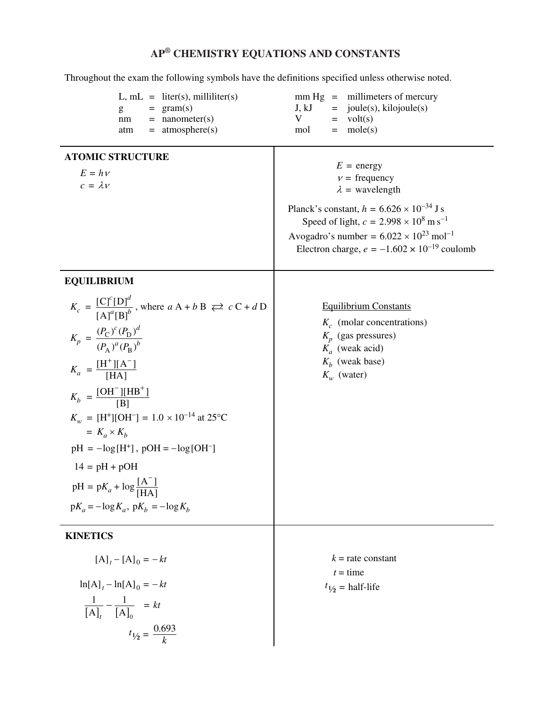## **AP® CHEMISTRY EQUATIONS AND CONSTANTS**

Throughout the exam the following symbols have the definitions specified unless otherwise noted.

| $L, mL = liter(s), milliliter(s)$<br>$= \text{gram(s)}$<br>g<br>$=$ nanometer(s)<br>nm<br>$=$ atmosphere(s)<br>atm                                                                                                                                                                                                                                                                                                                                                                               | $mm Hg = millimeters of mercury$<br>$=$ joule(s), kilojoule(s)<br>J, kJ<br>V<br>$=$ volt(s)<br>mole(s)<br>mol<br>$=$                                                                                                                                                                                        |
|--------------------------------------------------------------------------------------------------------------------------------------------------------------------------------------------------------------------------------------------------------------------------------------------------------------------------------------------------------------------------------------------------------------------------------------------------------------------------------------------------|-------------------------------------------------------------------------------------------------------------------------------------------------------------------------------------------------------------------------------------------------------------------------------------------------------------|
| <b>ATOMIC STRUCTURE</b><br>$E = h v$<br>$c = \lambda v$                                                                                                                                                                                                                                                                                                                                                                                                                                          | $E = energy$<br>$v = \text{frequency}$<br>$\lambda$ = wavelength<br>Planck's constant, $h = 6.626 \times 10^{-34}$ J s<br>Speed of light, $c = 2.998 \times 10^8 \text{ m s}^{-1}$<br>Avogadro's number = $6.022 \times 10^{23}$ mol <sup>-1</sup><br>Electron charge, $e = -1.602 \times 10^{-19}$ coulomb |
| <b>EQUILIBRIUM</b><br>$K_c = \frac{[C]^c[D]^d}{[A]^a[B]^b}$ , where $aA + bB \rightleftarrows cC + dD$<br>$K_p = \frac{(P_\mathrm{C})^c (P_\mathrm{D})^d}{(P_\mathrm{A})^a (P_\mathrm{B})^b}$<br>$K_a = \frac{[H^+][A^-]}{[HA]}$<br>$K_b = \frac{[OH^-][HB^+]}{[B]}$<br>$K_w = [H^+][OH^-] = 1.0 \times 10^{-14}$ at 25°C<br>$= K_a \times K_b$<br>$pH = -\log[H^+]$ , $pOH = -\log[OH^-]$<br>$14 = pH + pOH$<br>$pH = pK_a + log \frac{[A^-]}{[HA]}$<br>$pK_a = -\log K_a$ , $pK_b = -\log K_b$ | <b>Equilibrium Constants</b><br>$K_c$ (molar concentrations)<br>$K_p$ (gas pressures)<br>$K_a$ (weak acid)<br>$K_h$ (weak base)<br>$K_w$ (water)                                                                                                                                                            |
| <b>KINETICS</b><br>$[A]_t - [A]_0 = -kt$<br>$\ln[A]_t - \ln[A]_0 = -kt$<br>$\frac{1}{[{\mathbf{A}}]_t} - \frac{1}{[{\mathbf{A}}]_0} = kt$<br>$t_{1/2} = \frac{0.693}{k}$                                                                                                                                                                                                                                                                                                                         | $k =$ rate constant<br>$t =$ time<br>$t_{1/2}$ = half-life                                                                                                                                                                                                                                                  |